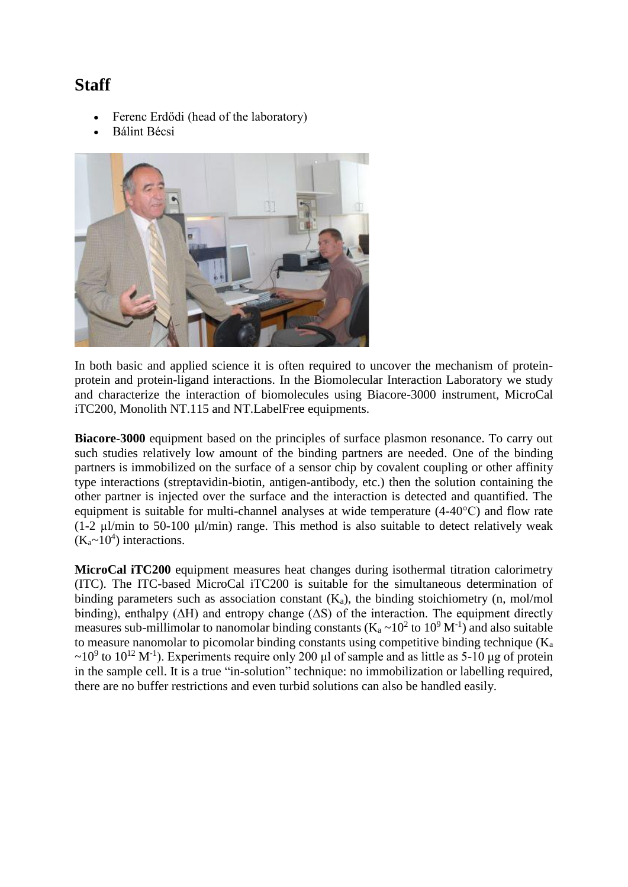## **Staff**

- Ferenc Erdődi (head of the laboratory)
- Bálint Bécsi



In both basic and applied science it is often required to uncover the mechanism of proteinprotein and protein-ligand interactions. In the Biomolecular Interaction Laboratory we study and characterize the interaction of biomolecules using Biacore-3000 instrument, MicroCal iTC200, Monolith NT.115 and NT.LabelFree equipments.

**Biacore-3000** equipment based on the principles of surface plasmon resonance. To carry out such studies relatively low amount of the binding partners are needed. One of the binding partners is immobilized on the surface of a sensor chip by covalent coupling or other affinity type interactions (streptavidin-biotin, antigen-antibody, etc.) then the solution containing the other partner is injected over the surface and the interaction is detected and quantified. The equipment is suitable for multi-channel analyses at wide temperature (4-40°C) and flow rate  $(1-2 \mu)/$ min to 50-100  $\mu$ l/min) range. This method is also suitable to detect relatively weak  $(K_a \sim 10^4)$  interactions.

**MicroCal iTC200** equipment measures heat changes during isothermal titration calorimetry (ITC). The ITC-based MicroCal iTC200 is suitable for the simultaneous determination of binding parameters such as association constant  $(K_a)$ , the binding stoichiometry (n, mol/mol binding), enthalpy ( $\Delta H$ ) and entropy change ( $\Delta S$ ) of the interaction. The equipment directly measures sub-millimolar to nanomolar binding constants ( $K_a \sim 10^2$  to  $10^9$  M<sup>-1</sup>) and also suitable to measure nanomolar to picomolar binding constants using competitive binding technique  $(K_a)$  $\sim$ 10<sup>9</sup> to 10<sup>12</sup> M<sup>-1</sup>). Experiments require only 200 µl of sample and as little as 5-10 µg of protein in the sample cell. It is a true "in-solution" technique: no immobilization or labelling required, there are no buffer restrictions and even turbid solutions can also be handled easily.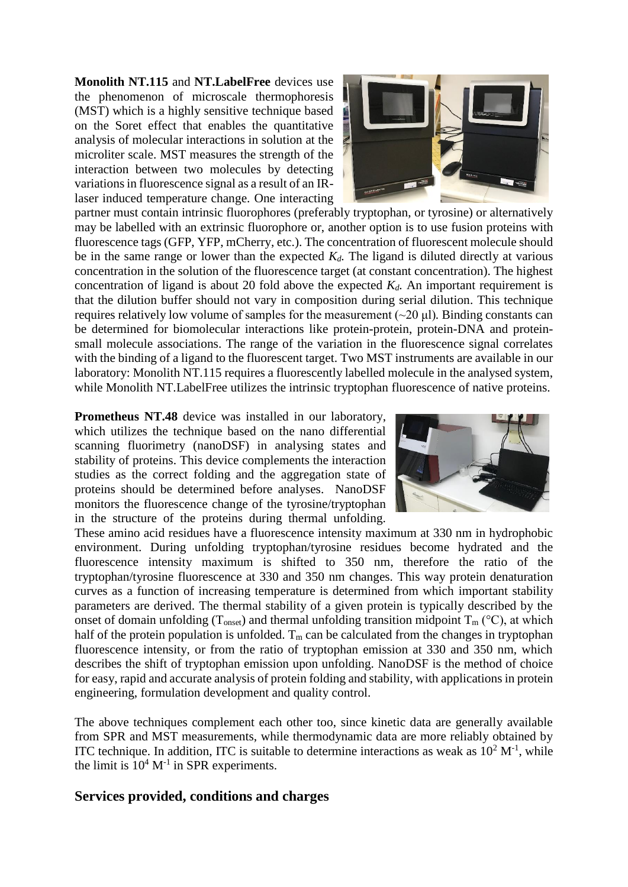**Monolith NT.115** and **NT.LabelFree** devices use the phenomenon of microscale thermophoresis (MST) which is a highly sensitive technique based on the Soret effect that enables the quantitative analysis of molecular interactions in solution at the microliter scale. MST measures the strength of the interaction between two molecules by detecting variations in fluorescence signal as a result of an IRlaser induced temperature change. One interacting



partner must contain intrinsic fluorophores (preferably tryptophan, or tyrosine) or alternatively may be labelled with an extrinsic fluorophore or, another option is to use fusion proteins with fluorescence tags (GFP, YFP, mCherry, etc.). The concentration of fluorescent molecule should be in the same range or lower than the expected  $K_d$ . The ligand is diluted directly at various concentration in the solution of the fluorescence target (at constant concentration). The highest concentration of ligand is about 20 fold above the expected *Kd.* An important requirement is that the dilution buffer should not vary in composition during serial dilution. This technique requires relatively low volume of samples for the measurement (~20 μl)*.* Binding constants can be determined for biomolecular interactions like protein-protein, protein-DNA and proteinsmall molecule associations. The range of the variation in the fluorescence signal correlates with the binding of a ligand to the fluorescent target. Two MST instruments are available in our laboratory: Monolith NT.115 requires a fluorescently labelled molecule in the analysed system, while Monolith NT.LabelFree utilizes the intrinsic tryptophan fluorescence of native proteins.

**Prometheus NT.48** device was installed in our laboratory, which utilizes the technique based on the nano differential scanning fluorimetry (nanoDSF) in analysing states and stability of proteins. This device complements the interaction studies as the correct folding and the aggregation state of proteins should be determined before analyses. NanoDSF monitors the fluorescence change of the tyrosine/tryptophan in the structure of the proteins during thermal unfolding.



These amino acid residues have a fluorescence intensity maximum at 330 nm in hydrophobic environment. During unfolding tryptophan/tyrosine residues become hydrated and the fluorescence intensity maximum is shifted to 350 nm, therefore the ratio of the tryptophan/tyrosine fluorescence at 330 and 350 nm changes. This way protein denaturation curves as a function of increasing temperature is determined from which important stability parameters are derived. The thermal stability of a given protein is typically described by the onset of domain unfolding ( $T_{onset}$ ) and thermal unfolding transition midpoint  $T_m$  (°C), at which half of the protein population is unfolded.  $T_m$  can be calculated from the changes in tryptophan fluorescence intensity, or from the ratio of tryptophan emission at 330 and 350 nm, which describes the shift of tryptophan emission upon unfolding. NanoDSF is the method of choice for easy, rapid and accurate analysis of protein folding and stability, with applications in protein engineering, formulation development and quality control.

The above techniques complement each other too, since kinetic data are generally available from SPR and MST measurements, while thermodynamic data are more reliably obtained by ITC technique. In addition, ITC is suitable to determine interactions as weak as  $10^2 M^{-1}$ , while the limit is  $10^4 M^{-1}$  in SPR experiments.

## **Services provided, conditions and charges**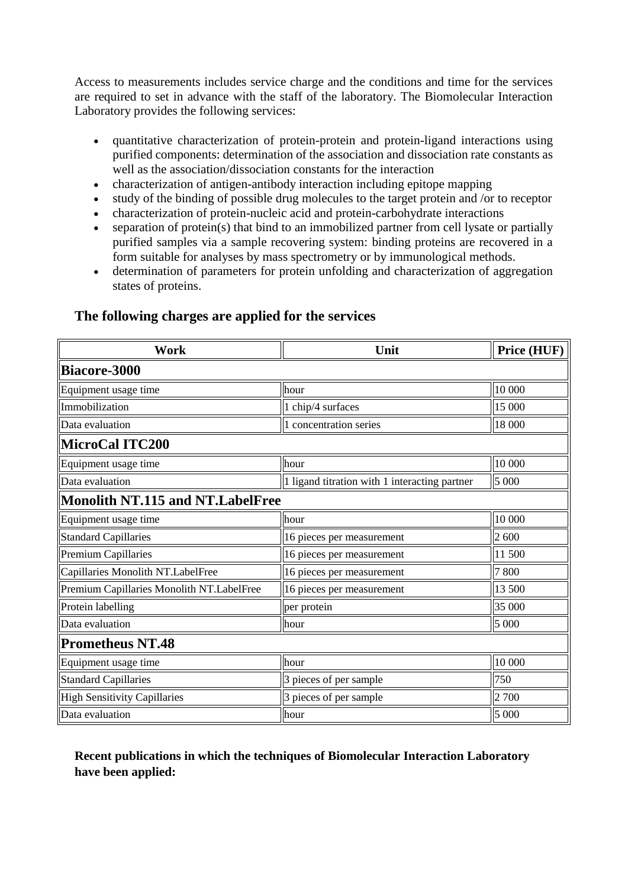Access to measurements includes service charge and the conditions and time for the services are required to set in advance with the staff of the laboratory. The Biomolecular Interaction Laboratory provides the following services:

- quantitative characterization of protein-protein and protein-ligand interactions using purified components: determination of the association and dissociation rate constants as well as the association/dissociation constants for the interaction
- characterization of antigen-antibody interaction including epitope mapping
- study of the binding of possible drug molecules to the target protein and /or to receptor
- characterization of protein-nucleic acid and protein-carbohydrate interactions
- separation of protein(s) that bind to an immobilized partner from cell lysate or partially purified samples via a sample recovering system: binding proteins are recovered in a form suitable for analyses by mass spectrometry or by immunological methods.
- determination of parameters for protein unfolding and characterization of aggregation states of proteins.

| <b>Work</b>                               | Unit                                          | Price (HUF) |
|-------------------------------------------|-----------------------------------------------|-------------|
| Biacore-3000                              |                                               |             |
| Equipment usage time                      | hour                                          | 10 000      |
| Immobilization                            | 1 chip/4 surfaces                             | 15 000      |
| Data evaluation                           | 1 concentration series                        | 18 000      |
| MicroCal ITC200                           |                                               |             |
| Equipment usage time                      | hour                                          | 10 000      |
| Data evaluation                           | 1 ligand titration with 1 interacting partner | 5 000       |
| Monolith NT.115 and NT.LabelFree          |                                               |             |
| Equipment usage time                      | hour                                          | 10 000      |
| <b>Standard Capillaries</b>               | 16 pieces per measurement                     | 2 600       |
| <b>Premium Capillaries</b>                | 16 pieces per measurement                     | 11 500      |
| Capillaries Monolith NT.LabelFree         | 16 pieces per measurement                     | 7800        |
| Premium Capillaries Monolith NT.LabelFree | 16 pieces per measurement                     | 13 500      |
| Protein labelling                         | per protein                                   | 35 000      |
| Data evaluation                           | hour                                          | 5 000       |
| <b>Prometheus NT.48</b>                   |                                               |             |
| Equipment usage time                      | hour                                          | 10 000      |
| <b>Standard Capillaries</b>               | 3 pieces of per sample                        | 750         |
| High Sensitivity Capillaries              | 3 pieces of per sample                        | 2 700       |
| Data evaluation                           | hour                                          | 5 000       |

## **The following charges are applied for the services**

## **Recent publications in which the techniques of Biomolecular Interaction Laboratory have been applied:**